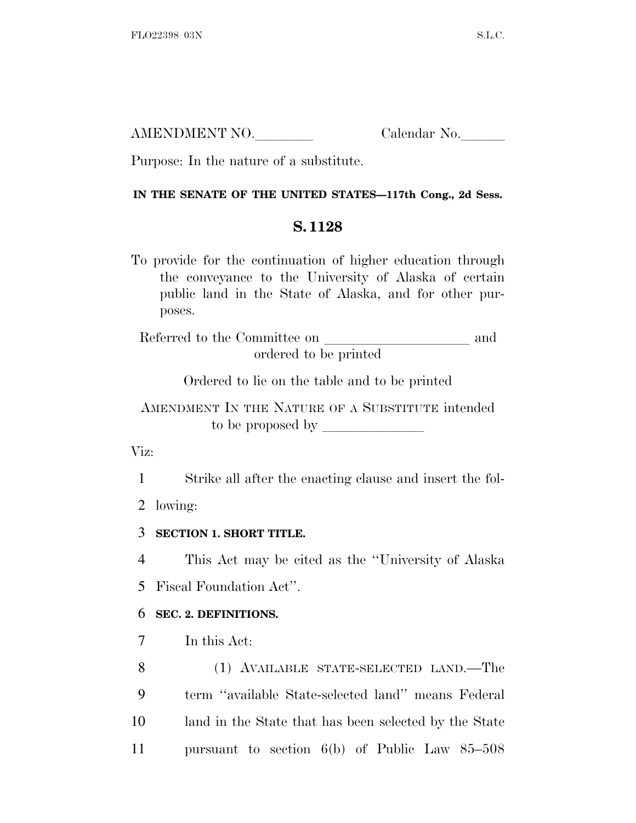| AMENDMENT NO. | Calendar No. |
|---------------|--------------|
|               |              |

Purpose: In the nature of a substitute.

#### **IN THE SENATE OF THE UNITED STATES—117th Cong., 2d Sess.**

# **S. 1128**

To provide for the continuation of higher education through the conveyance to the University of Alaska of certain public land in the State of Alaska, and for other purposes.

Referred to the Committee on and ordered to be printed

Ordered to lie on the table and to be printed

AMENDMENT IN THE NATURE OF A SUBSTITUTE intended to be proposed by  $\overline{\phantom{a}}$ 

Viz:

1 Strike all after the enacting clause and insert the fol-

2 lowing:

3 **SECTION 1. SHORT TITLE.**

4 This Act may be cited as the ''University of Alaska

5 Fiscal Foundation Act''.

# 6 **SEC. 2. DEFINITIONS.**

7 In this Act:

 (1) AVAILABLE STATE-SELECTED LAND.—The term ''available State-selected land'' means Federal land in the State that has been selected by the State pursuant to section 6(b) of Public Law 85–508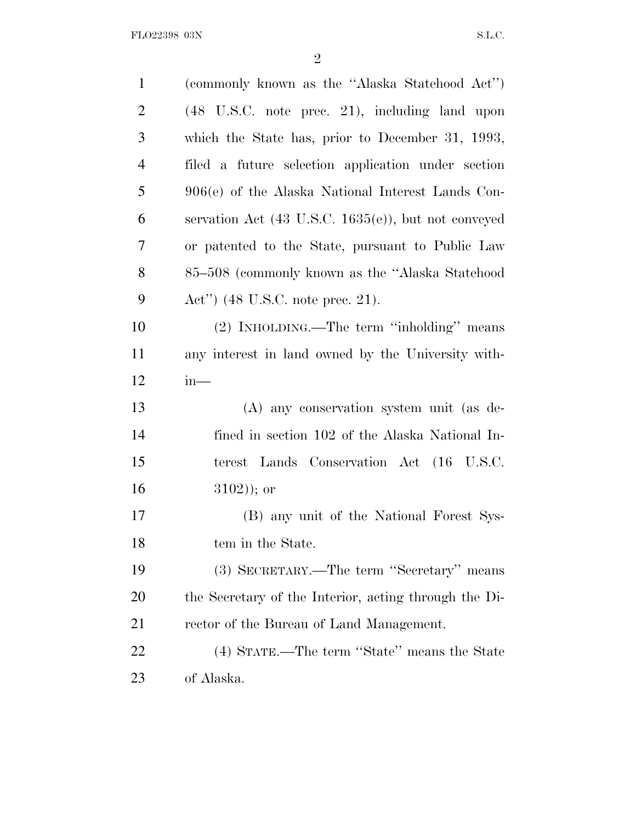FLO22398 03N S.L.C.

| $\mathbf{1}$   | (commonly known as the "Alaska Statehood Act")                  |
|----------------|-----------------------------------------------------------------|
| $\overline{2}$ | (48 U.S.C. note prec. 21), including land upon                  |
| 3              | which the State has, prior to December 31, 1993,                |
| $\overline{4}$ | filed a future selection application under section              |
| 5              | 906(e) of the Alaska National Interest Lands Con-               |
| 6              | servation Act $(43 \text{ U.S.C. } 1635(e))$ , but not conveyed |
| 7              | or patented to the State, pursuant to Public Law                |
| 8              | 85–508 (commonly known as the "Alaska Statehood")               |
| 9              | Act'') $(48 \text{ U.S.C. note prec. } 21)$ .                   |
| 10             | (2) INHOLDING.—The term "inholding" means                       |
| 11             | any interest in land owned by the University with-              |
| 12             | $in-$                                                           |
| 13             | (A) any conservation system unit (as de-                        |
| 14             | fined in section 102 of the Alaska National In-                 |
| 15             | terest Lands Conservation Act (16 U.S.C.                        |
| 16             | $(3102)$ ; or                                                   |
| 17             | (B) any unit of the National Forest Sys-                        |
| 18             | tem in the State.                                               |
| 19             | (3) SECRETARY.—The term "Secretary" means                       |
| <b>20</b>      | the Secretary of the Interior, acting through the Di-           |
| 21             | rector of the Bureau of Land Management.                        |
| 22             | (4) STATE.—The term "State" means the State                     |
| 23             | of Alaska.                                                      |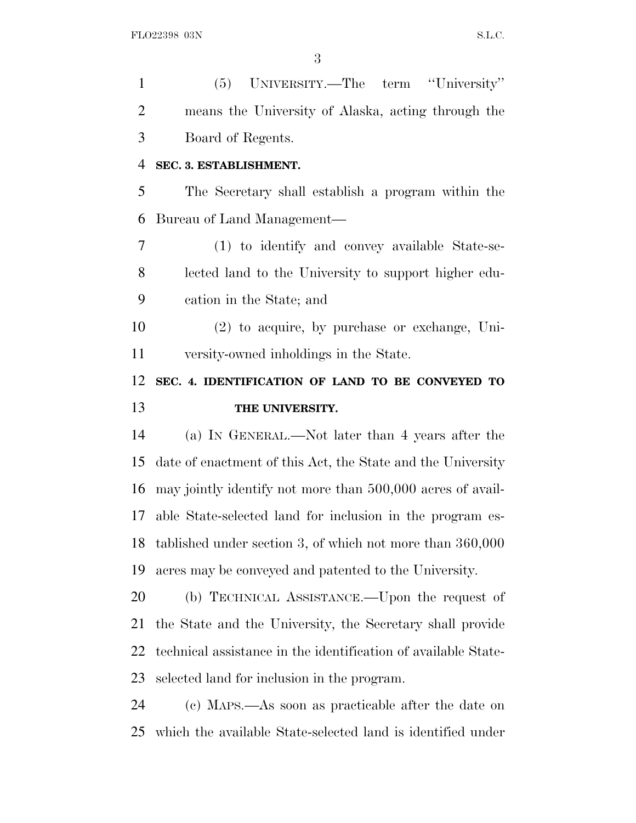(5) UNIVERSITY.—The term ''University'' means the University of Alaska, acting through the Board of Regents. **SEC. 3. ESTABLISHMENT.** The Secretary shall establish a program within the Bureau of Land Management— (1) to identify and convey available State-se- lected land to the University to support higher edu- cation in the State; and (2) to acquire, by purchase or exchange, Uni- versity-owned inholdings in the State. **SEC. 4. IDENTIFICATION OF LAND TO BE CONVEYED TO THE UNIVERSITY.** (a) I<sup>N</sup> GENERAL.—Not later than 4 years after the date of enactment of this Act, the State and the University may jointly identify not more than 500,000 acres of avail- able State-selected land for inclusion in the program es- tablished under section 3, of which not more than 360,000 acres may be conveyed and patented to the University. (b) TECHNICAL ASSISTANCE.—Upon the request of the State and the University, the Secretary shall provide technical assistance in the identification of available State- selected land for inclusion in the program. (c) MAPS.—As soon as practicable after the date on

which the available State-selected land is identified under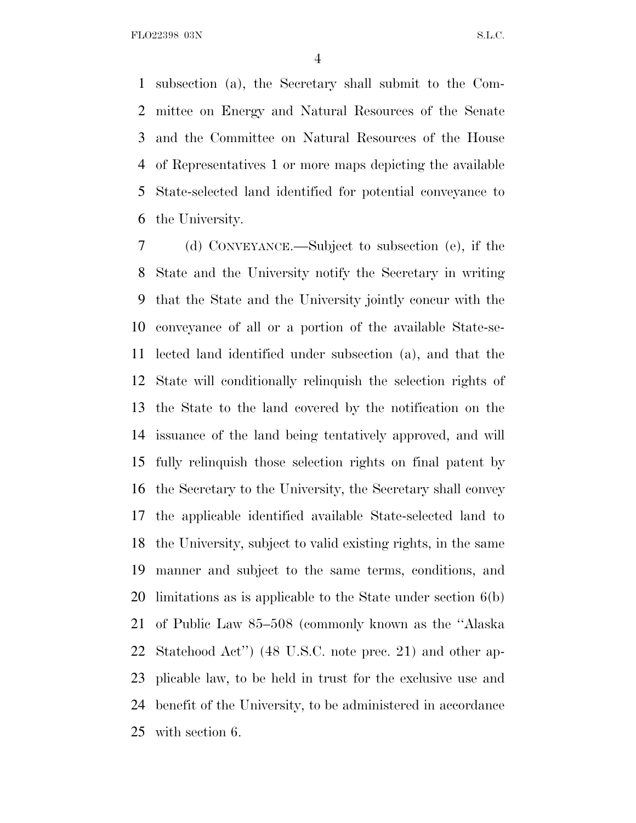subsection (a), the Secretary shall submit to the Com- mittee on Energy and Natural Resources of the Senate and the Committee on Natural Resources of the House of Representatives 1 or more maps depicting the available State-selected land identified for potential conveyance to the University.

 (d) CONVEYANCE.—Subject to subsection (e), if the State and the University notify the Secretary in writing that the State and the University jointly concur with the conveyance of all or a portion of the available State-se- lected land identified under subsection (a), and that the State will conditionally relinquish the selection rights of the State to the land covered by the notification on the issuance of the land being tentatively approved, and will fully relinquish those selection rights on final patent by the Secretary to the University, the Secretary shall convey the applicable identified available State-selected land to the University, subject to valid existing rights, in the same manner and subject to the same terms, conditions, and limitations as is applicable to the State under section 6(b) of Public Law 85–508 (commonly known as the ''Alaska Statehood Act'') (48 U.S.C. note prec. 21) and other ap- plicable law, to be held in trust for the exclusive use and benefit of the University, to be administered in accordance with section 6.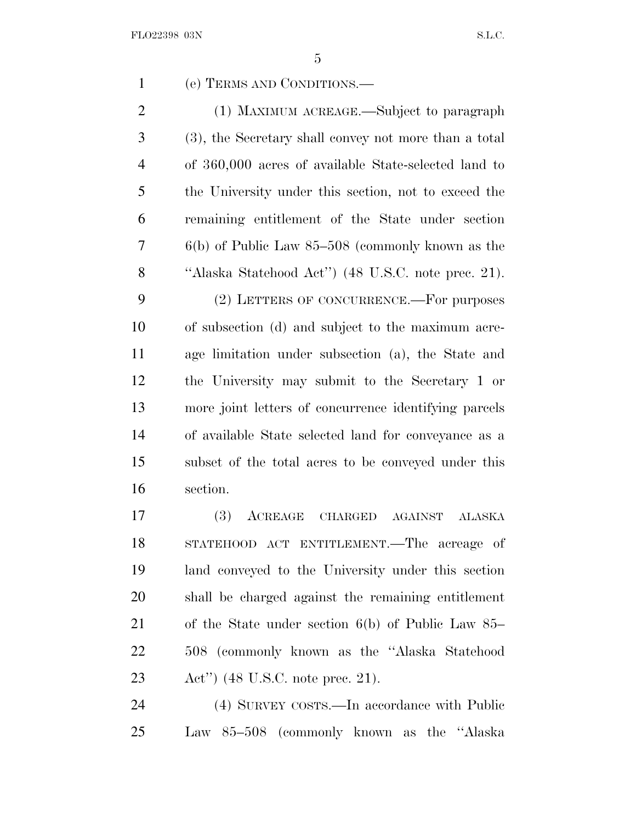| $\mathbf{1}$   | (e) TERMS AND CONDITIONS.—                                                          |
|----------------|-------------------------------------------------------------------------------------|
| $\overline{2}$ | (1) MAXIMUM ACREAGE.—Subject to paragraph                                           |
| 3              | (3), the Secretary shall convey not more than a total                               |
| $\overline{4}$ | of 360,000 acres of available State-selected land to                                |
| 5              | the University under this section, not to exceed the                                |
| 6              | remaining entitlement of the State under section                                    |
| $\overline{7}$ | $6(b)$ of Public Law $85-508$ (commonly known as the                                |
| 8              | "Alaska Statehood Act") (48 U.S.C. note prec. 21).                                  |
| 9              | (2) LETTERS OF CONCURRENCE.—For purposes                                            |
| 10             | of subsection (d) and subject to the maximum acre-                                  |
| 11             | age limitation under subsection (a), the State and                                  |
| 12             | the University may submit to the Secretary 1 or                                     |
| 13             | more joint letters of concurrence identifying parcels                               |
| 14             | of available State selected land for conveyance as a                                |
| 15             | subset of the total acres to be conveyed under this                                 |
| 16             | section.                                                                            |
| 17             | <b>(3)</b><br>ACREAGE<br><b>CHARGED</b><br>$\operatorname{AGAINST}$<br>$\rm ALASKA$ |
| 18             | STATEHOOD ACT ENTITLEMENT.—The acreage of                                           |
| 19             | land conveyed to the University under this section                                  |
| 20             | shall be charged against the remaining entitlement                                  |
|                |                                                                                     |

 of the State under section 6(b) of Public Law 85– 508 (commonly known as the ''Alaska Statehood Act'') (48 U.S.C. note prec. 21).

 (4) SURVEY COSTS.—In accordance with Public Law 85–508 (commonly known as the ''Alaska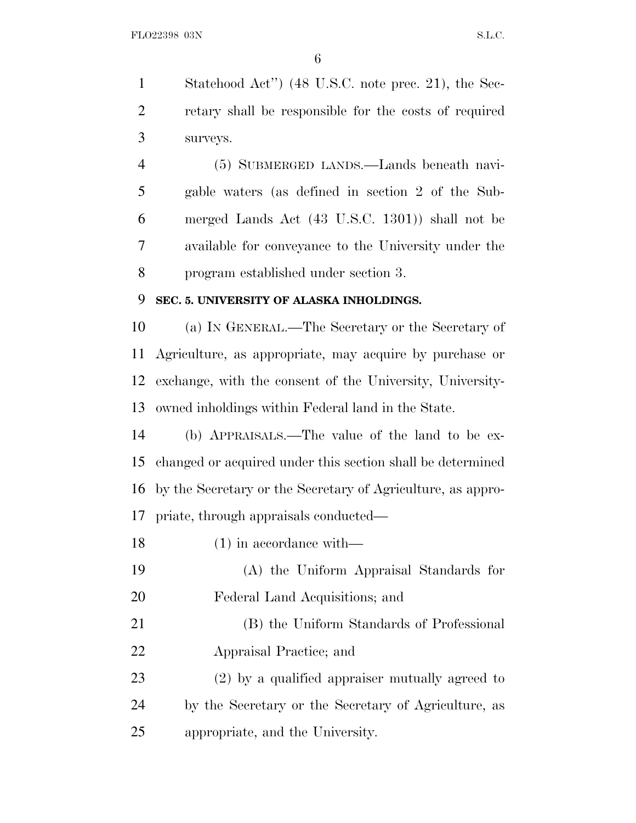Statehood Act'') (48 U.S.C. note prec. 21), the Sec- retary shall be responsible for the costs of required surveys.

 (5) SUBMERGED LANDS.—Lands beneath navi- gable waters (as defined in section 2 of the Sub- merged Lands Act (43 U.S.C. 1301)) shall not be available for conveyance to the University under the program established under section 3.

#### **SEC. 5. UNIVERSITY OF ALASKA INHOLDINGS.**

 (a) I<sup>N</sup> GENERAL.—The Secretary or the Secretary of Agriculture, as appropriate, may acquire by purchase or exchange, with the consent of the University, University-owned inholdings within Federal land in the State.

 (b) APPRAISALS.—The value of the land to be ex- changed or acquired under this section shall be determined by the Secretary or the Secretary of Agriculture, as appro-priate, through appraisals conducted—

18 (1) in accordance with— (A) the Uniform Appraisal Standards for Federal Land Acquisitions; and (B) the Uniform Standards of Professional Appraisal Practice; and (2) by a qualified appraiser mutually agreed to by the Secretary or the Secretary of Agriculture, as appropriate, and the University.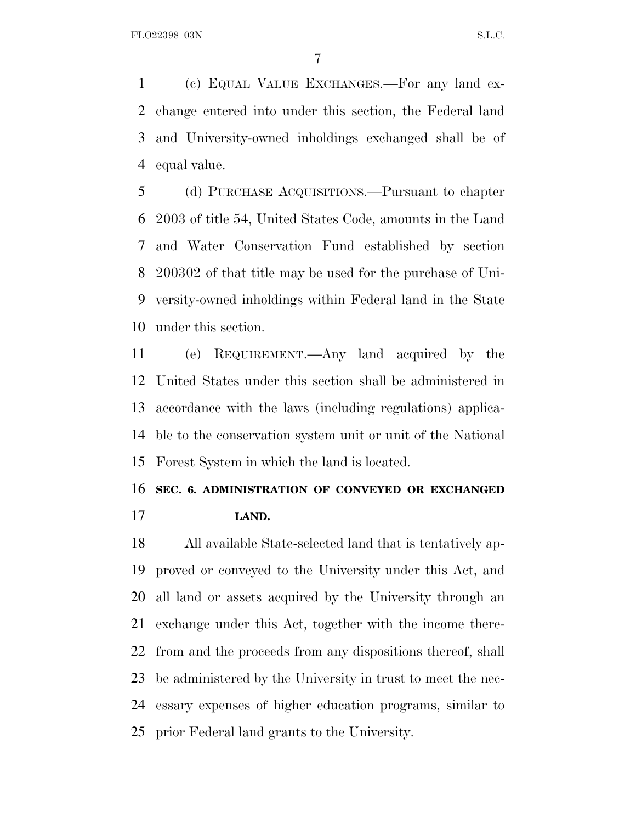(c) EQUAL VALUE EXCHANGES.—For any land ex- change entered into under this section, the Federal land and University-owned inholdings exchanged shall be of equal value.

 (d) PURCHASE ACQUISITIONS.—Pursuant to chapter 2003 of title 54, United States Code, amounts in the Land and Water Conservation Fund established by section 200302 of that title may be used for the purchase of Uni- versity-owned inholdings within Federal land in the State under this section.

 (e) REQUIREMENT.—Any land acquired by the United States under this section shall be administered in accordance with the laws (including regulations) applica- ble to the conservation system unit or unit of the National Forest System in which the land is located.

#### **SEC. 6. ADMINISTRATION OF CONVEYED OR EXCHANGED**

**LAND.**

 All available State-selected land that is tentatively ap- proved or conveyed to the University under this Act, and all land or assets acquired by the University through an exchange under this Act, together with the income there- from and the proceeds from any dispositions thereof, shall be administered by the University in trust to meet the nec- essary expenses of higher education programs, similar to prior Federal land grants to the University.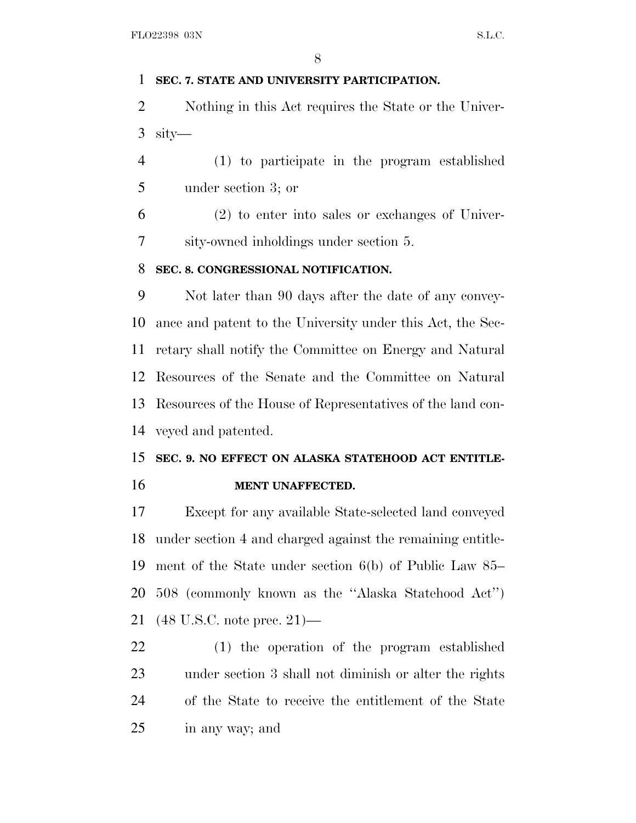### **SEC. 7. STATE AND UNIVERSITY PARTICIPATION.**

 Nothing in this Act requires the State or the Univer-sity—

 (1) to participate in the program established under section 3; or

 (2) to enter into sales or exchanges of Univer-sity-owned inholdings under section 5.

## **SEC. 8. CONGRESSIONAL NOTIFICATION.**

 Not later than 90 days after the date of any convey- ance and patent to the University under this Act, the Sec- retary shall notify the Committee on Energy and Natural Resources of the Senate and the Committee on Natural Resources of the House of Representatives of the land con-veyed and patented.

# **SEC. 9. NO EFFECT ON ALASKA STATEHOOD ACT ENTITLE-MENT UNAFFECTED.**

 Except for any available State-selected land conveyed under section 4 and charged against the remaining entitle- ment of the State under section 6(b) of Public Law 85– 508 (commonly known as the ''Alaska Statehood Act'') (48 U.S.C. note prec. 21)—

 (1) the operation of the program established under section 3 shall not diminish or alter the rights of the State to receive the entitlement of the State in any way; and